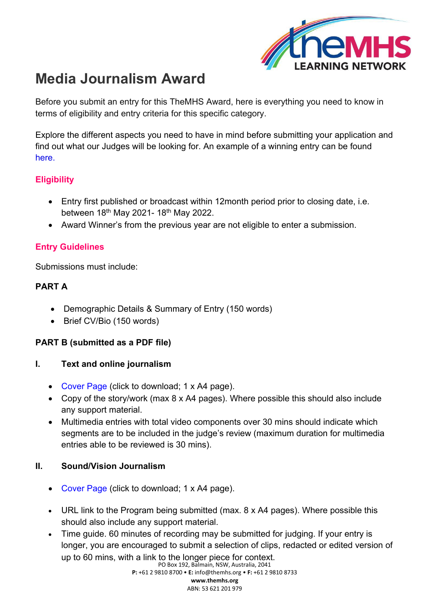

# **Media Journalism Award**

Before you submit an entry for this TheMHS Award, here is everything you need to know in terms of eligibility and entry criteria for this specific category.

Explore the different aspects you need to have in mind before submitting your application and find out what our Judges will be looking for. An example of a winning entry can be found [her](https://www.themhs.org/wp-content/uploads/2022/01/MEDIA_SV_MHS-Media-Journalism-Award_Sam-Ikin.pdf)e.

# **Eligibility**

- Entry first published or broadcast within 12month period prior to closing date, i.e. between 18<sup>th</sup> May 2021- 18<sup>th</sup> May 2022.
- Award Winner's from the previous year are not eligible to enter a submission.

## **Entry Guidelines**

Submissions must include:

## **PART A**

- Demographic Details & Summary of Entry (150 words)
- Brief CV/Bio (150 words)

## **PART B (submitted as a PDF file)**

#### **I. Text and online journalism**

- [Cover Page \(](https://www.themhs.org/wp-content/uploads/2021/06/TheMHS-Media-Awards-2021-Application-Cover.docx.pdf)click to download; 1 x A4 page).
- Copy of the story/work (max 8 x A4 pages). Where possible this should also include any support material.
- Multimedia entries with total video components over 30 mins should indicate which segments are to be included in the judge's review (maximum duration for multimedia entries able to be reviewed is 30 mins).

## **II. Sound/Vision Journalism**

- [Cover Page \(](https://www.themhs.org/wp-content/uploads/2021/06/TheMHS-Media-Awards-2021-Application-Cover.docx.pdf)click to download; 1 x A4 page).
- URL link to the Program being submitted (max. 8 x A4 pages). Where possible this should also include any support material.
- Time guide. 60 minutes of recording may be submitted for judging. If your entry is longer, you are encouraged to submit a selection of clips, redacted or edited version of up to 60 mins, with a link to the longer piece for context.